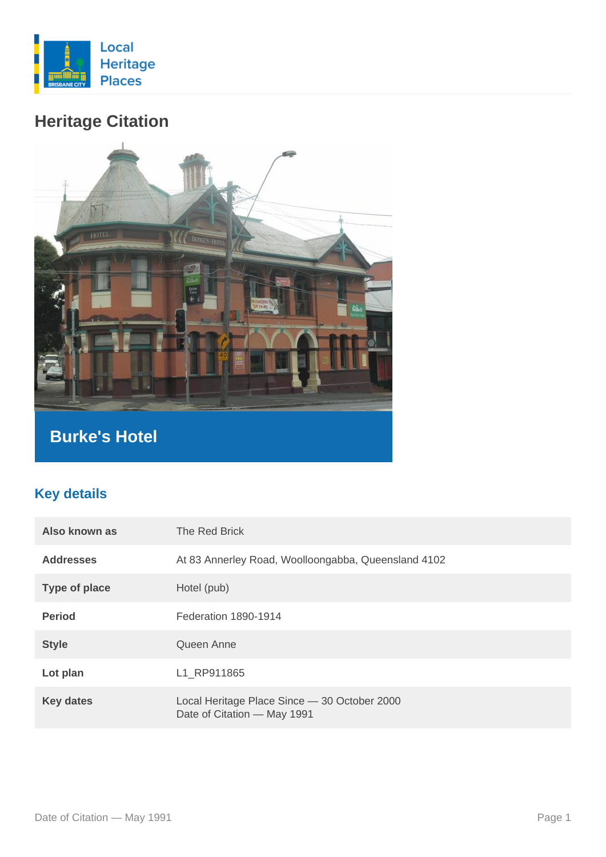

# **Heritage Citation**



## **Burke's Hotel**

### **Key details**

| Also known as        | The Red Brick                                                               |
|----------------------|-----------------------------------------------------------------------------|
| <b>Addresses</b>     | At 83 Annerley Road, Woolloongabba, Queensland 4102                         |
| <b>Type of place</b> | Hotel (pub)                                                                 |
| <b>Period</b>        | Federation 1890-1914                                                        |
| <b>Style</b>         | Queen Anne                                                                  |
| Lot plan             | L1 RP911865                                                                 |
| <b>Key dates</b>     | Local Heritage Place Since - 30 October 2000<br>Date of Citation - May 1991 |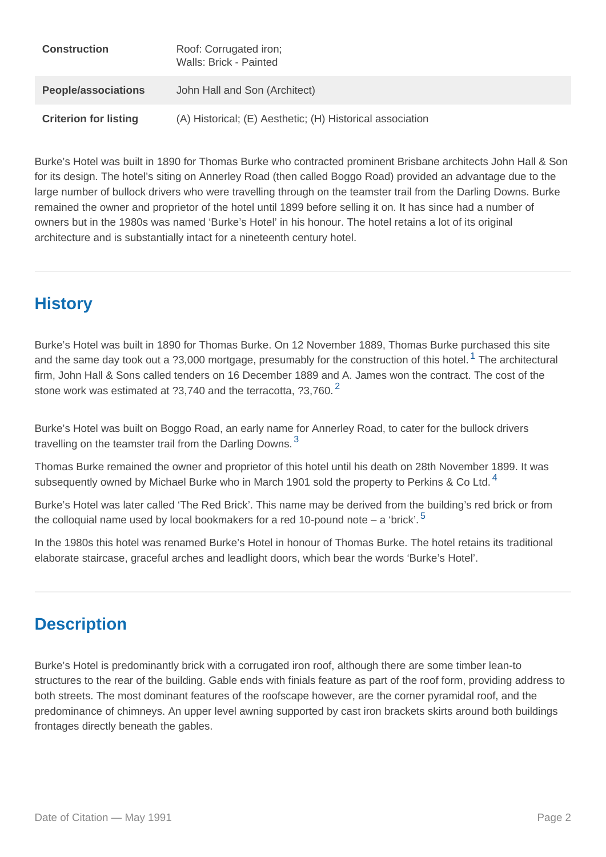| Construction          | Roof: Corrugated iron;<br>Walls: Brick - Painted          |
|-----------------------|-----------------------------------------------------------|
| People/associations   | John Hall and Son (Architect)                             |
| Criterion for listing | (A) Historical; (E) Aesthetic; (H) Historical association |

Burke's Hotel was built in 1890 for Thomas Burke who contracted prominent Brisbane architects John Hall & Son for its design. The hotel's siting on Annerley Road (then called Boggo Road) provided an advantage due to the large number of bullock drivers who were travelling through on the teamster trail from the Darling Downs. Burke remained the owner and proprietor of the hotel until 1899 before selling it on. It has since had a number of owners but in the 1980s was named 'Burke's Hotel' in his honour. The hotel retains a lot of its original architecture and is substantially intact for a nineteenth century hotel.

## **History**

Burke's Hotel was built in 1890 for Thomas Burke. On 12 November 1889, Thomas Burke purchased this site and the same day took out a ?3,000 mortgage, presumably for the construction of this hotel.<sup>1</sup> The architectural firm, John Hall & Sons called tenders on 16 December 1889 and A. James won the contract. The cost of the stone work was estimated at  $23,740$  $23,740$  and the terracotta,  $23,760$ .

Burke's Hotel was built on Boggo Road, an early name for Annerley Road, to cater for the bullock drivers travelling on the teamster trail from the Darling Downs.  $3$ 

Thomas Burke remained the owner and proprietor of this hotel until his death on 28th November 1899. It was subsequently owned by Michael Burke who in March 1901 sold the property to Perkins & Co Ltd.<sup>[4](#page-3-0)</sup>

Burke's Hotel was later called 'The Red Brick'. This name may be derived from the building's red brick or from the colloquial name used by local bookmakers for a red 10-pound note – a 'brick'.<sup>[5](#page-3-0)</sup>

In the 1980s this hotel was renamed Burke's Hotel in honour of Thomas Burke. The hotel retains its traditional elaborate staircase, graceful arches and leadlight doors, which bear the words 'Burke's Hotel'.

## **Description**

Burke's Hotel is predominantly brick with a corrugated iron roof, although there are some timber lean-to structures to the rear of the building. Gable ends with finials feature as part of the roof form, providing address to both streets. The most dominant features of the roofscape however, are the corner pyramidal roof, and the predominance of chimneys. An upper level awning supported by cast iron brackets skirts around both buildings frontages directly beneath the gables.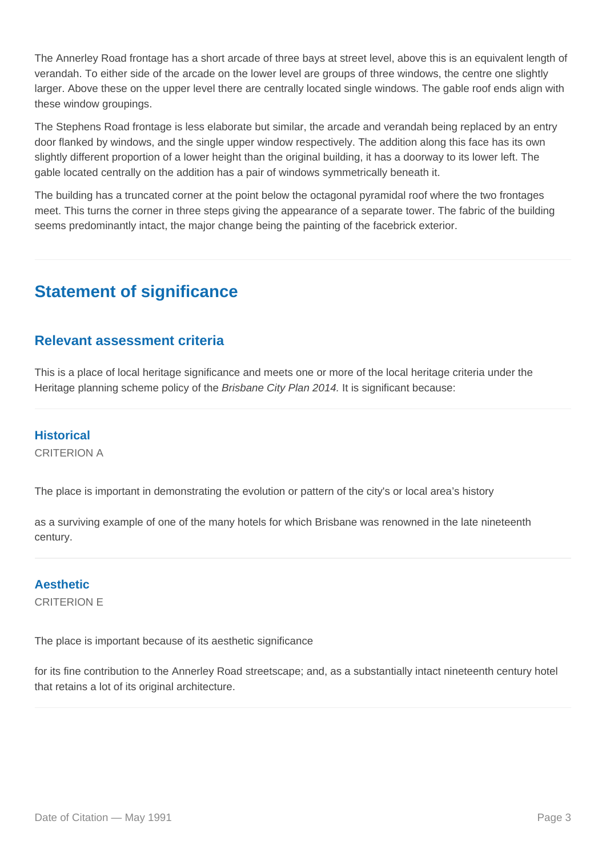The Annerley Road frontage has a short arcade of three bays at street level, above this is an equivalent length of verandah. To either side of the arcade on the lower level are groups of three windows, the centre one slightly larger. Above these on the upper level there are centrally located single windows. The gable roof ends align with these window groupings.

The Stephens Road frontage is less elaborate but similar, the arcade and verandah being replaced by an entry door flanked by windows, and the single upper window respectively. The addition along this face has its own slightly different proportion of a lower height than the original building, it has a doorway to its lower left. The gable located centrally on the addition has a pair of windows symmetrically beneath it.

The building has a truncated corner at the point below the octagonal pyramidal roof where the two frontages meet. This turns the corner in three steps giving the appearance of a separate tower. The fabric of the building seems predominantly intact, the major change being the painting of the facebrick exterior.

## **Statement of significance**

#### **Relevant assessment criteria**

This is a place of local heritage significance and meets one or more of the local heritage criteria under the Heritage planning scheme policy of the *Brisbane City Plan 2014*. It is significant because:

#### **Historical**

CRITERION A

The place is important in demonstrating the evolution or pattern of the city's or local area's history

as a surviving example of one of the many hotels for which Brisbane was renowned in the late nineteenth century.

#### **Aesthetic**

CRITERION E

The place is important because of its aesthetic significance

for its fine contribution to the Annerley Road streetscape; and, as a substantially intact nineteenth century hotel that retains a lot of its original architecture.